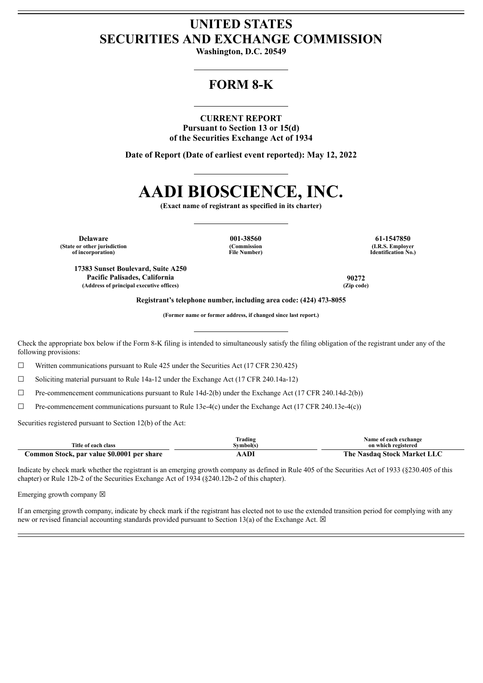# **UNITED STATES SECURITIES AND EXCHANGE COMMISSION**

**Washington, D.C. 20549**

# **FORM 8-K**

### **CURRENT REPORT**

**Pursuant to Section 13 or 15(d) of the Securities Exchange Act of 1934**

**Date of Report (Date of earliest event reported): May 12, 2022**

# **AADI BIOSCIENCE, INC.**

**(Exact name of registrant as specified in its charter)**

**Delaware 001-38560 61-1547850 (State or other jurisdiction of incorporation)**

**(Commission File Number)**

**(I.R.S. Employer Identification No.)**

**17383 Sunset Boulevard, Suite A250 Pacific Palisades, California 90272 (Address of principal executive offices) (Zip code)**

**Registrant's telephone number, including area code: (424) 473-8055**

**(Former name or former address, if changed since last report.)**

Check the appropriate box below if the Form 8-K filing is intended to simultaneously satisfy the filing obligation of the registrant under any of the following provisions:

 $\Box$  Written communications pursuant to Rule 425 under the Securities Act (17 CFR 230.425)

☐ Soliciting material pursuant to Rule 14a-12 under the Exchange Act (17 CFR 240.14a-12)

 $\Box$  Pre-commencement communications pursuant to Rule 14d-2(b) under the Exchange Act (17 CFR 240.14d-2(b))

☐ Pre-commencement communications pursuant to Rule 13e-4(c) under the Exchange Act (17 CFR 240.13e-4(c))

Securities registered pursuant to Section 12(b) of the Act:

|                                            | <b>frading</b> | Name of each exchange       |  |
|--------------------------------------------|----------------|-----------------------------|--|
| Title of each class                        | švmbol(s`      | on which registered         |  |
| Common Stock, par value \$0.0001 per share | <b>ADI</b>     | The Nasdaq Stock Market LLC |  |

Indicate by check mark whether the registrant is an emerging growth company as defined in Rule 405 of the Securities Act of 1933 (§230.405 of this chapter) or Rule 12b-2 of the Securities Exchange Act of 1934 (§240.12b-2 of this chapter).

Emerging growth company  $\boxtimes$ 

If an emerging growth company, indicate by check mark if the registrant has elected not to use the extended transition period for complying with any new or revised financial accounting standards provided pursuant to Section 13(a) of the Exchange Act.  $\boxtimes$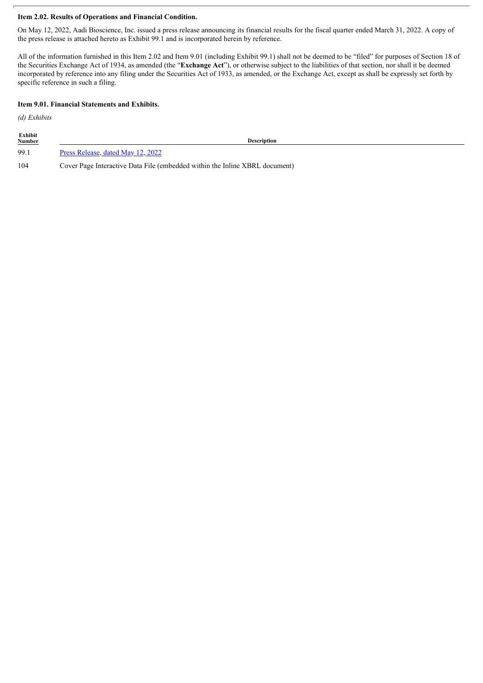#### **Item 2.02. Results of Operations and Financial Condition.**

On May 12, 2022, Aadi Bioscience, Inc. issued a press release announcing its financial results for the fiscal quarter ended March 31, 2022. A copy of the press release is attached hereto as Exhibit 99.1 and is incorporated herein by reference.

All of the information furnished in this Item 2.02 and Item 9.01 (including Exhibit 99.1) shall not be deemed to be "filed" for purposes of Section 18 of the Securities Exchange Act of 1934, as amended (the "**Exchange Act**"), or otherwise subject to the liabilities of that section, nor shall it be deemed incorporated by reference into any filing under the Securities Act of 1933, as amended, or the Exchange Act, except as shall be expressly set forth by specific reference in such a filing.

#### **Item 9.01. Financial Statements and Exhibits.**

*(d) Exhibits*

| Exhibit<br><b>Number</b> | <b>Description</b>                                                          |
|--------------------------|-----------------------------------------------------------------------------|
| 99.1                     | Press Release, dated May 12, 2022                                           |
| 104                      | Cover Page Interactive Data File (embedded within the Inline XBRL document) |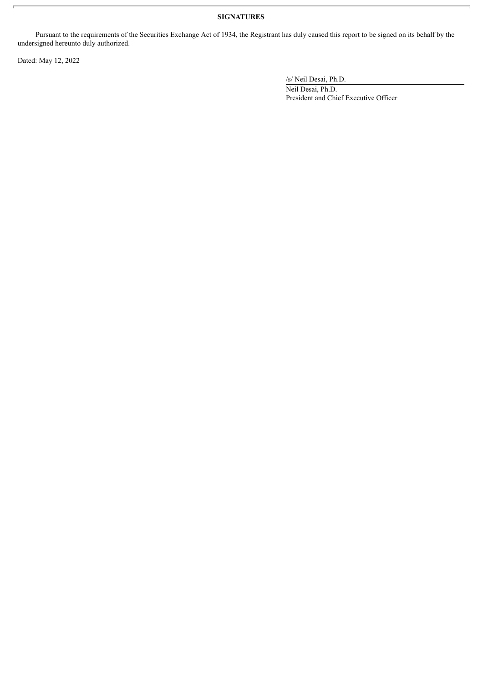# **SIGNATURES**

Pursuant to the requirements of the Securities Exchange Act of 1934, the Registrant has duly caused this report to be signed on its behalf by the undersigned hereunto duly authorized.

Dated: May 12, 2022

/s/ Neil Desai, Ph.D.

Neil Desai, Ph.D. President and Chief Executive Officer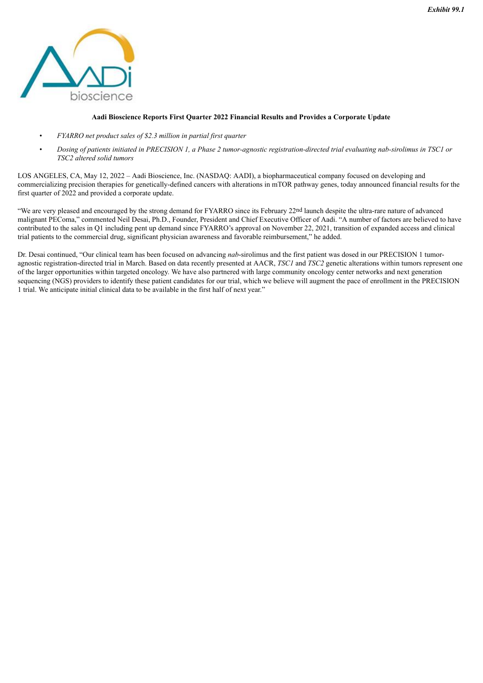<span id="page-3-0"></span>

#### **Aadi Bioscience Reports First Quarter 2022 Financial Results and Provides a Corporate Update**

- *FYARRO net product sales of \$2.3 million in partial first quarter*
- Dosing of patients initiated in PRECISION 1, a Phase 2 tumor-agnostic registration-directed trial evaluating nab-sirolimus in TSC1 or *TSC2 altered solid tumors*

LOS ANGELES, CA, May 12, 2022 – Aadi Bioscience, Inc. (NASDAQ: AADI), a biopharmaceutical company focused on developing and commercializing precision therapies for genetically-defined cancers with alterations in mTOR pathway genes, today announced financial results for the first quarter of 2022 and provided a corporate update.

"We are very pleased and encouraged by the strong demand for FYARRO since its February 22nd launch despite the ultra-rare nature of advanced malignant PEComa," commented Neil Desai, Ph.D., Founder, President and Chief Executive Officer of Aadi. "A number of factors are believed to have contributed to the sales in Q1 including pent up demand since FYARRO's approval on November 22, 2021, transition of expanded access and clinical trial patients to the commercial drug, significant physician awareness and favorable reimbursement," he added.

Dr. Desai continued, "Our clinical team has been focused on advancing *nab*-sirolimus and the first patient was dosed in our PRECISION 1 tumoragnostic registration-directed trial in March. Based on data recently presented at AACR, *TSC1* and *TSC2* genetic alterations within tumors represent one of the larger opportunities within targeted oncology. We have also partnered with large community oncology center networks and next generation sequencing (NGS) providers to identify these patient candidates for our trial, which we believe will augment the pace of enrollment in the PRECISION 1 trial. We anticipate initial clinical data to be available in the first half of next year."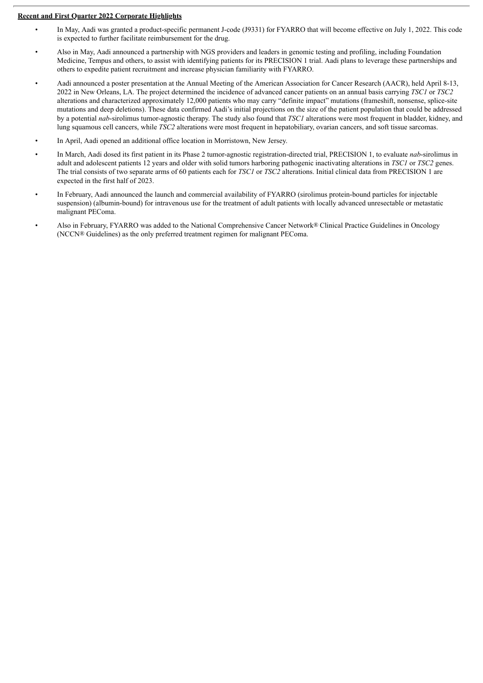#### **Recent and First Quarter 2022 Corporate Highlights**

- In May, Aadi was granted a product-specific permanent J-code (J9331) for FYARRO that will become effective on July 1, 2022. This code is expected to further facilitate reimbursement for the drug.
- Also in May, Aadi announced a partnership with NGS providers and leaders in genomic testing and profiling, including Foundation Medicine, Tempus and others, to assist with identifying patients for its PRECISION 1 trial. Aadi plans to leverage these partnerships and others to expedite patient recruitment and increase physician familiarity with FYARRO.
- Aadi announced a poster presentation at the Annual Meeting of the American Association for Cancer Research (AACR), held April 8-13, 2022 in New Orleans, LA. The project determined the incidence of advanced cancer patients on an annual basis carrying *TSC1* or *TSC2* alterations and characterized approximately 12,000 patients who may carry "definite impact" mutations (frameshift, nonsense, splice-site mutations and deep deletions). These data confirmed Aadi's initial projections on the size of the patient population that could be addressed by a potential *nab*-sirolimus tumor-agnostic therapy. The study also found that *TSC1* alterations were most frequent in bladder, kidney, and lung squamous cell cancers, while *TSC2* alterations were most frequent in hepatobiliary, ovarian cancers, and soft tissue sarcomas.
- In April, Aadi opened an additional office location in Morristown, New Jersey.
- In March, Aadi dosed its first patient in its Phase 2 tumor-agnostic registration-directed trial, PRECISION 1, to evaluate *nab*-sirolimus in adult and adolescent patients 12 years and older with solid tumors harboring pathogenic inactivating alterations in *TSC1* or *TSC2* genes. The trial consists of two separate arms of 60 patients each for *TSC1* or *TSC2* alterations. Initial clinical data from PRECISION 1 are expected in the first half of 2023.
- In February, Aadi announced the launch and commercial availability of FYARRO (sirolimus protein-bound particles for injectable suspension) (albumin-bound) for intravenous use for the treatment of adult patients with locally advanced unresectable or metastatic malignant PEComa.
- Also in February, FYARRO was added to the National Comprehensive Cancer Network® Clinical Practice Guidelines in Oncology (NCCN® Guidelines) as the only preferred treatment regimen for malignant PEComa.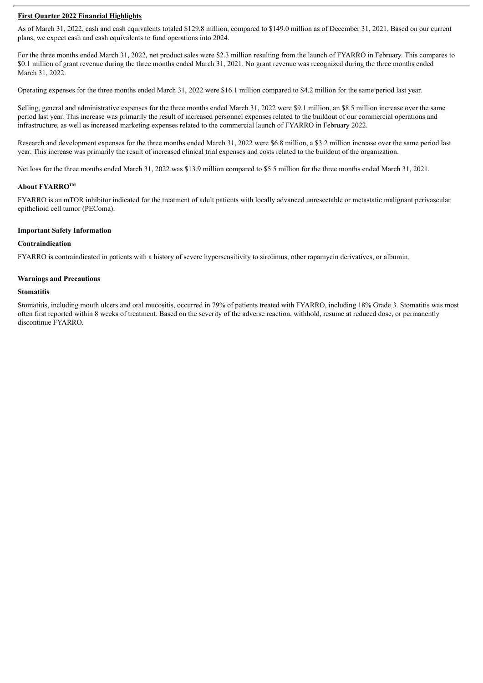#### **First Quarter 2022 Financial Highlights**

As of March 31, 2022, cash and cash equivalents totaled \$129.8 million, compared to \$149.0 million as of December 31, 2021. Based on our current plans, we expect cash and cash equivalents to fund operations into 2024.

For the three months ended March 31, 2022, net product sales were \$2.3 million resulting from the launch of FYARRO in February. This compares to \$0.1 million of grant revenue during the three months ended March 31, 2021. No grant revenue was recognized during the three months ended March 31, 2022.

Operating expenses for the three months ended March 31, 2022 were \$16.1 million compared to \$4.2 million for the same period last year.

Selling, general and administrative expenses for the three months ended March 31, 2022 were \$9.1 million, an \$8.5 million increase over the same period last year. This increase was primarily the result of increased personnel expenses related to the buildout of our commercial operations and infrastructure, as well as increased marketing expenses related to the commercial launch of FYARRO in February 2022.

Research and development expenses for the three months ended March 31, 2022 were \$6.8 million, a \$3.2 million increase over the same period last year. This increase was primarily the result of increased clinical trial expenses and costs related to the buildout of the organization.

Net loss for the three months ended March 31, 2022 was \$13.9 million compared to \$5.5 million for the three months ended March 31, 2021.

#### **About FYARRO™**

FYARRO is an mTOR inhibitor indicated for the treatment of adult patients with locally advanced unresectable or metastatic malignant perivascular epithelioid cell tumor (PEComa).

#### **Important Safety Information**

#### **Contraindication**

FYARRO is contraindicated in patients with a history of severe hypersensitivity to sirolimus, other rapamycin derivatives, or albumin.

#### **Warnings and Precautions**

#### **Stomatitis**

Stomatitis, including mouth ulcers and oral mucositis, occurred in 79% of patients treated with FYARRO, including 18% Grade 3. Stomatitis was most often first reported within 8 weeks of treatment. Based on the severity of the adverse reaction, withhold, resume at reduced dose, or permanently discontinue FYARRO.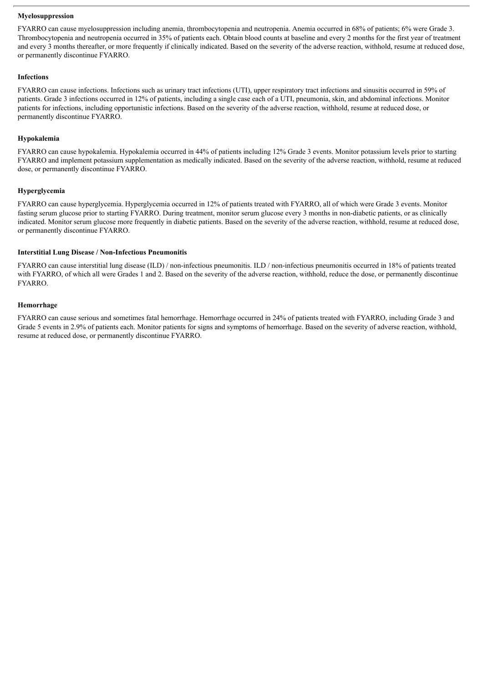#### **Myelosuppression**

FYARRO can cause myelosuppression including anemia, thrombocytopenia and neutropenia. Anemia occurred in 68% of patients; 6% were Grade 3. Thrombocytopenia and neutropenia occurred in 35% of patients each. Obtain blood counts at baseline and every 2 months for the first year of treatment and every 3 months thereafter, or more frequently if clinically indicated. Based on the severity of the adverse reaction, withhold, resume at reduced dose, or permanently discontinue FYARRO.

#### **Infections**

FYARRO can cause infections. Infections such as urinary tract infections (UTI), upper respiratory tract infections and sinusitis occurred in 59% of patients. Grade 3 infections occurred in 12% of patients, including a single case each of a UTI, pneumonia, skin, and abdominal infections. Monitor patients for infections, including opportunistic infections. Based on the severity of the adverse reaction, withhold, resume at reduced dose, or permanently discontinue FYARRO.

#### **Hypokalemia**

FYARRO can cause hypokalemia. Hypokalemia occurred in 44% of patients including 12% Grade 3 events. Monitor potassium levels prior to starting FYARRO and implement potassium supplementation as medically indicated. Based on the severity of the adverse reaction, withhold, resume at reduced dose, or permanently discontinue FYARRO.

#### **Hyperglycemia**

FYARRO can cause hyperglycemia. Hyperglycemia occurred in 12% of patients treated with FYARRO, all of which were Grade 3 events. Monitor fasting serum glucose prior to starting FYARRO. During treatment, monitor serum glucose every 3 months in non-diabetic patients, or as clinically indicated. Monitor serum glucose more frequently in diabetic patients. Based on the severity of the adverse reaction, withhold, resume at reduced dose, or permanently discontinue FYARRO.

#### **Interstitial Lung Disease / Non-Infectious Pneumonitis**

FYARRO can cause interstitial lung disease (ILD) / non-infectious pneumonitis. ILD / non-infectious pneumonitis occurred in 18% of patients treated with FYARRO, of which all were Grades 1 and 2. Based on the severity of the adverse reaction, withhold, reduce the dose, or permanently discontinue FYARRO.

#### **Hemorrhage**

FYARRO can cause serious and sometimes fatal hemorrhage. Hemorrhage occurred in 24% of patients treated with FYARRO, including Grade 3 and Grade 5 events in 2.9% of patients each. Monitor patients for signs and symptoms of hemorrhage. Based on the severity of adverse reaction, withhold, resume at reduced dose, or permanently discontinue FYARRO.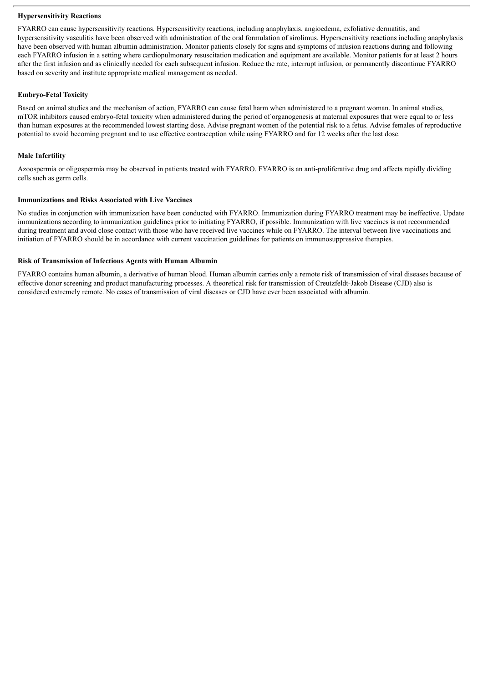#### **Hypersensitivity Reactions**

FYARRO can cause hypersensitivity reactions*.* Hypersensitivity reactions, including anaphylaxis, angioedema, exfoliative dermatitis, and hypersensitivity vasculitis have been observed with administration of the oral formulation of sirolimus. Hypersensitivity reactions including anaphylaxis have been observed with human albumin administration. Monitor patients closely for signs and symptoms of infusion reactions during and following each FYARRO infusion in a setting where cardiopulmonary resuscitation medication and equipment are available. Monitor patients for at least 2 hours after the first infusion and as clinically needed for each subsequent infusion. Reduce the rate, interrupt infusion, or permanently discontinue FYARRO based on severity and institute appropriate medical management as needed.

#### **Embryo-Fetal Toxicity**

Based on animal studies and the mechanism of action, FYARRO can cause fetal harm when administered to a pregnant woman. In animal studies, mTOR inhibitors caused embryo-fetal toxicity when administered during the period of organogenesis at maternal exposures that were equal to or less than human exposures at the recommended lowest starting dose. Advise pregnant women of the potential risk to a fetus. Advise females of reproductive potential to avoid becoming pregnant and to use effective contraception while using FYARRO and for 12 weeks after the last dose.

#### **Male Infertility**

Azoospermia or oligospermia may be observed in patients treated with FYARRO. FYARRO is an anti-proliferative drug and affects rapidly dividing cells such as germ cells.

#### **Immunizations and Risks Associated with Live Vaccines**

No studies in conjunction with immunization have been conducted with FYARRO. Immunization during FYARRO treatment may be ineffective. Update immunizations according to immunization guidelines prior to initiating FYARRO, if possible. Immunization with live vaccines is not recommended during treatment and avoid close contact with those who have received live vaccines while on FYARRO. The interval between live vaccinations and initiation of FYARRO should be in accordance with current vaccination guidelines for patients on immunosuppressive therapies.

#### **Risk of Transmission of Infectious Agents with Human Albumin**

FYARRO contains human albumin, a derivative of human blood. Human albumin carries only a remote risk of transmission of viral diseases because of effective donor screening and product manufacturing processes. A theoretical risk for transmission of Creutzfeldt-Jakob Disease (CJD) also is considered extremely remote. No cases of transmission of viral diseases or CJD have ever been associated with albumin.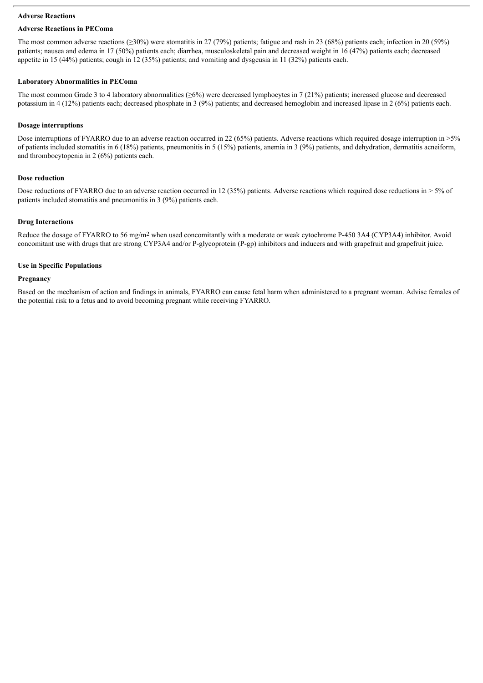#### **Adverse Reactions**

# **Adverse Reactions in PEComa**

The most common adverse reactions (≥30%) were stomatitis in 27 (79%) patients; fatigue and rash in 23 (68%) patients each; infection in 20 (59%) patients; nausea and edema in 17 (50%) patients each; diarrhea, musculoskeletal pain and decreased weight in 16 (47%) patients each; decreased appetite in 15 (44%) patients; cough in 12 (35%) patients; and vomiting and dysgeusia in 11 (32%) patients each.

# **Laboratory Abnormalities in PEComa**

The most common Grade 3 to 4 laboratory abnormalities ( $\geq 6\%$ ) were decreased lymphocytes in 7 (21%) patients; increased glucose and decreased potassium in 4 (12%) patients each; decreased phosphate in 3 (9%) patients; and decreased hemoglobin and increased lipase in 2 (6%) patients each.

# **Dosage interruptions**

Dose interruptions of FYARRO due to an adverse reaction occurred in 22 (65%) patients. Adverse reactions which required dosage interruption in >5% of patients included stomatitis in 6 (18%) patients, pneumonitis in 5 (15%) patients, anemia in 3 (9%) patients, and dehydration, dermatitis acneiform, and thrombocytopenia in 2 (6%) patients each.

# **Dose reduction**

Dose reductions of FYARRO due to an adverse reaction occurred in 12 (35%) patients. Adverse reactions which required dose reductions in  $> 5\%$  of patients included stomatitis and pneumonitis in 3 (9%) patients each.

# **Drug Interactions**

Reduce the dosage of FYARRO to 56 mg/m2 when used concomitantly with a moderate or weak cytochrome P-450 3A4 (CYP3A4) inhibitor. Avoid concomitant use with drugs that are strong CYP3A4 and/or P-glycoprotein (P-gp) inhibitors and inducers and with grapefruit and grapefruit juice.

# **Use in Specific Populations**

# **Pregnancy**

Based on the mechanism of action and findings in animals, FYARRO can cause fetal harm when administered to a pregnant woman. Advise females of the potential risk to a fetus and to avoid becoming pregnant while receiving FYARRO.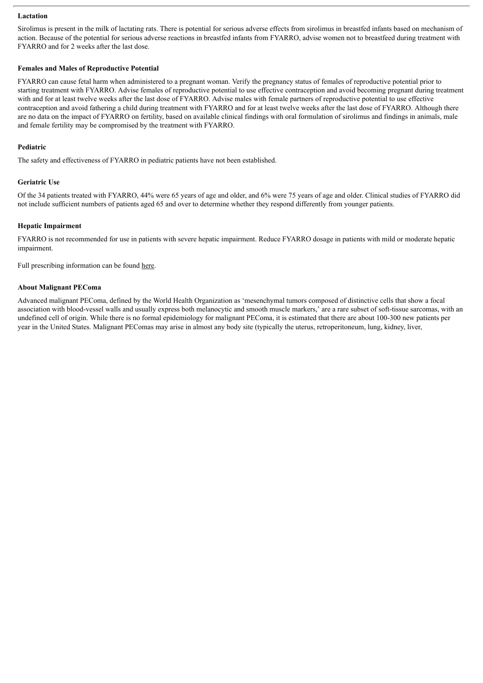#### **Lactation**

Sirolimus is present in the milk of lactating rats. There is potential for serious adverse effects from sirolimus in breastfed infants based on mechanism of action. Because of the potential for serious adverse reactions in breastfed infants from FYARRO, advise women not to breastfeed during treatment with FYARRO and for 2 weeks after the last dose.

#### **Females and Males of Reproductive Potential**

FYARRO can cause fetal harm when administered to a pregnant woman. Verify the pregnancy status of females of reproductive potential prior to starting treatment with FYARRO. Advise females of reproductive potential to use effective contraception and avoid becoming pregnant during treatment with and for at least twelve weeks after the last dose of FYARRO. Advise males with female partners of reproductive potential to use effective contraception and avoid fathering a child during treatment with FYARRO and for at least twelve weeks after the last dose of FYARRO. Although there are no data on the impact of FYARRO on fertility, based on available clinical findings with oral formulation of sirolimus and findings in animals, male and female fertility may be compromised by the treatment with FYARRO.

#### **Pediatric**

The safety and effectiveness of FYARRO in pediatric patients have not been established.

# **Geriatric Use**

Of the 34 patients treated with FYARRO, 44% were 65 years of age and older, and 6% were 75 years of age and older. Clinical studies of FYARRO did not include sufficient numbers of patients aged 65 and over to determine whether they respond differently from younger patients.

#### **Hepatic Impairment**

FYARRO is not recommended for use in patients with severe hepatic impairment. Reduce FYARRO dosage in patients with mild or moderate hepatic impairment.

Full prescribing information can be found here.

## **About Malignant PEComa**

Advanced malignant PEComa, defined by the World Health Organization as 'mesenchymal tumors composed of distinctive cells that show a focal association with blood-vessel walls and usually express both melanocytic and smooth muscle markers,' are a rare subset of soft-tissue sarcomas, with an undefined cell of origin. While there is no formal epidemiology for malignant PEComa, it is estimated that there are about 100-300 new patients per year in the United States. Malignant PEComas may arise in almost any body site (typically the uterus, retroperitoneum, lung, kidney, liver,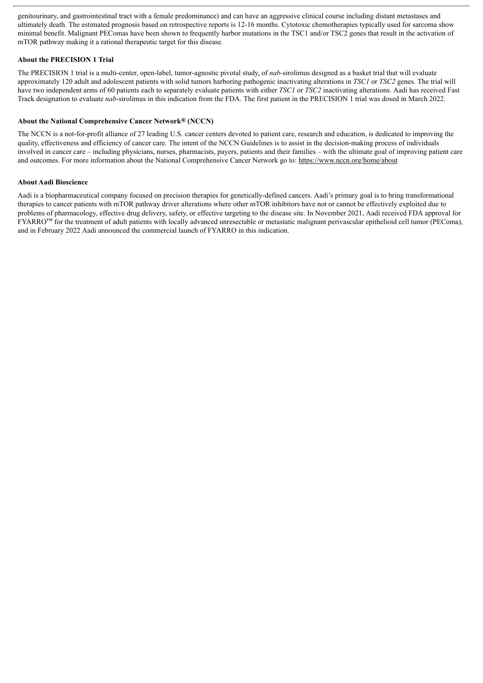genitourinary, and gastrointestinal tract with a female predominance) and can have an aggressive clinical course including distant metastases and ultimately death. The estimated prognosis based on retrospective reports is 12-16 months. Cytotoxic chemotherapies typically used for sarcoma show minimal benefit. Malignant PEComas have been shown to frequently harbor mutations in the TSC1 and/or TSC2 genes that result in the activation of mTOR pathway making it a rational therapeutic target for this disease.

#### **About the PRECISION 1 Trial**

The PRECISION 1 trial is a multi-center, open-label, tumor-agnostic pivotal study, of *nab*-sirolimus designed as a basket trial that will evaluate approximately 120 adult and adolescent patients with solid tumors harboring pathogenic inactivating alterations in *TSC1* or *TSC2* genes. The trial will have two independent arms of 60 patients each to separately evaluate patients with either *TSC1* or *TSC2* inactivating alterations. Aadi has received Fast Track designation to evaluate *nab*-sirolimus in this indication from the FDA. The first patient in the PRECISION 1 trial was dosed in March 2022.

#### **About the National Comprehensive Cancer Network® (NCCN)**

The NCCN is a not-for-profit alliance of 27 leading U.S. cancer centers devoted to patient care, research and education, is dedicated to improving the quality, effectiveness and efficiency of cancer care. The intent of the NCCN Guidelines is to assist in the decision-making process of individuals involved in cancer care – including physicians, nurses, pharmacists, payers, patients and their families – with the ultimate goal of improving patient care and outcomes. For more information about the National Comprehensive Cancer Network go to: https://www.nccn.org/home/about

#### **About Aadi Bioscience**

Aadi is a biopharmaceutical company focused on precision therapies for genetically-defined cancers. Aadi's primary goal is to bring transformational therapies to cancer patients with mTOR pathway driver alterations where other mTOR inhibitors have not or cannot be effectively exploited due to problems of pharmacology, effective drug delivery, safety, or effective targeting to the disease site. In November 2021, Aadi received FDA approval for FYARRO™ for the treatment of adult patients with locally advanced unresectable or metastatic malignant perivascular epithelioid cell tumor (PEComa), and in February 2022 Aadi announced the commercial launch of FYARRO in this indication.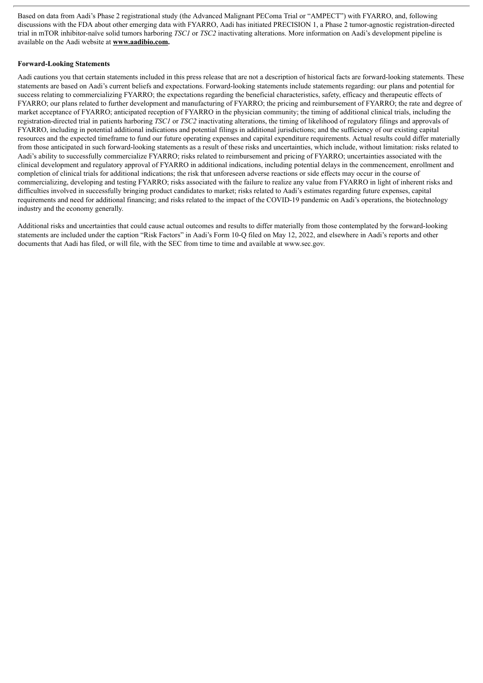Based on data from Aadi's Phase 2 registrational study (the Advanced Malignant PEComa Trial or "AMPECT") with FYARRO, and, following discussions with the FDA about other emerging data with FYARRO, Aadi has initiated PRECISION 1, a Phase 2 tumor-agnostic registration-directed trial in mTOR inhibitor-naïve solid tumors harboring *TSC1* or *TSC2* inactivating alterations. More information on Aadi's development pipeline is available on the Aadi website at **www.aadibio.com.**

#### **Forward-Looking Statements**

Aadi cautions you that certain statements included in this press release that are not a description of historical facts are forward-looking statements. These statements are based on Aadi's current beliefs and expectations. Forward-looking statements include statements regarding: our plans and potential for success relating to commercializing FYARRO; the expectations regarding the beneficial characteristics, safety, efficacy and therapeutic effects of FYARRO; our plans related to further development and manufacturing of FYARRO; the pricing and reimbursement of FYARRO; the rate and degree of market acceptance of FYARRO; anticipated reception of FYARRO in the physician community; the timing of additional clinical trials, including the registration-directed trial in patients harboring *TSC1* or *TSC2* inactivating alterations, the timing of likelihood of regulatory filings and approvals of FYARRO, including in potential additional indications and potential filings in additional jurisdictions; and the sufficiency of our existing capital resources and the expected timeframe to fund our future operating expenses and capital expenditure requirements. Actual results could differ materially from those anticipated in such forward-looking statements as a result of these risks and uncertainties, which include, without limitation: risks related to Aadi's ability to successfully commercialize FYARRO; risks related to reimbursement and pricing of FYARRO; uncertainties associated with the clinical development and regulatory approval of FYARRO in additional indications, including potential delays in the commencement, enrollment and completion of clinical trials for additional indications; the risk that unforeseen adverse reactions or side effects may occur in the course of commercializing, developing and testing FYARRO; risks associated with the failure to realize any value from FYARRO in light of inherent risks and difficulties involved in successfully bringing product candidates to market; risks related to Aadi's estimates regarding future expenses, capital requirements and need for additional financing; and risks related to the impact of the COVID-19 pandemic on Aadi's operations, the biotechnology industry and the economy generally.

Additional risks and uncertainties that could cause actual outcomes and results to differ materially from those contemplated by the forward-looking statements are included under the caption "Risk Factors" in Aadi's Form 10-Q filed on May 12, 2022, and elsewhere in Aadi's reports and other documents that Aadi has filed, or will file, with the SEC from time to time and available at www.sec.gov.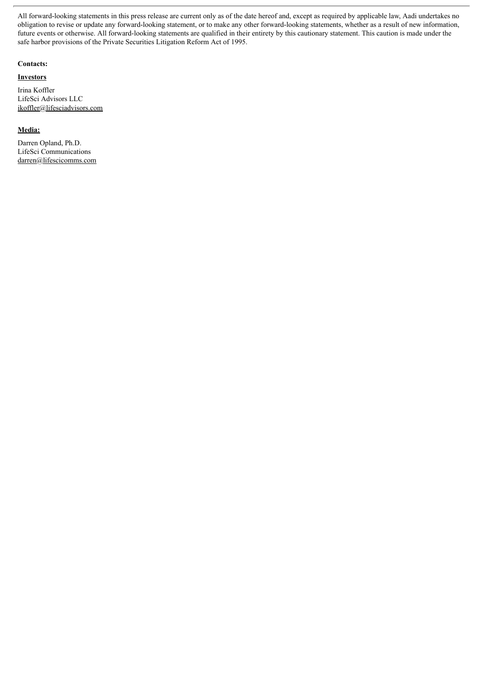All forward-looking statements in this press release are current only as of the date hereof and, except as required by applicable law, Aadi undertakes no obligation to revise or update any forward-looking statement, or to make any other forward-looking statements, whether as a result of new information, future events or otherwise. All forward-looking statements are qualified in their entirety by this cautionary statement. This caution is made under the safe harbor provisions of the Private Securities Litigation Reform Act of 1995.

#### **Contacts:**

#### **Investors**

Irina Koffler LifeSci Advisors LLC ikoffler@lifesciadvisors.com

#### **Media:**

Darren Opland, Ph.D. LifeSci Communications darren@lifescicomms.com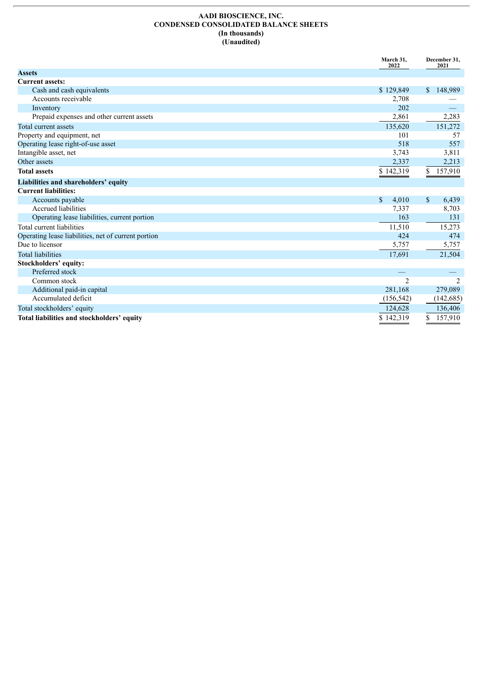#### **AADI BIOSCIENCE, INC. CONDENSED CONSOLIDATED BALANCE SHEETS (In thousands) (Unaudited)**

|                                                     | March 31,<br>2022 |                         |
|-----------------------------------------------------|-------------------|-------------------------|
| <b>Assets</b>                                       |                   |                         |
| <b>Current assets:</b>                              |                   |                         |
| Cash and cash equivalents                           | \$129,849         | 148,989<br>$\mathbb{S}$ |
| Accounts receivable                                 | 2,708             |                         |
| Inventory                                           | 202               |                         |
| Prepaid expenses and other current assets           | 2,861             | 2,283                   |
| Total current assets                                | 135,620           | 151,272                 |
| Property and equipment, net                         | 101               | 57                      |
| Operating lease right-of-use asset                  | 518               | 557                     |
| Intangible asset, net                               | 3,743             | 3,811                   |
| Other assets                                        | 2,337             | 2,213                   |
| <b>Total assets</b>                                 | \$142,319         | 157,910<br>\$           |
| Liabilities and shareholders' equity                |                   |                         |
| <b>Current liabilities:</b>                         |                   |                         |
| Accounts payable                                    | \$<br>4,010       | \$<br>6,439             |
| <b>Accrued liabilities</b>                          | 7,337             | 8,703                   |
| Operating lease liabilities, current portion        | 163               | 131                     |
| Total current liabilities                           | 11,510            | 15,273                  |
| Operating lease liabilities, net of current portion | 424               | 474                     |
| Due to licensor                                     | 5,757             | 5,757                   |
| <b>Total liabilities</b>                            | 17,691            | 21,504                  |
| Stockholders' equity:                               |                   |                         |
| Preferred stock                                     |                   |                         |
| Common stock                                        | $\overline{2}$    | 2                       |
| Additional paid-in capital                          | 281,168           | 279,089                 |
| Accumulated deficit                                 | (156, 542)        | (142, 685)              |
| Total stockholders' equity                          | 124,628           | 136,406                 |
| Total liabilities and stockholders' equity          | \$142,319         | 157,910                 |